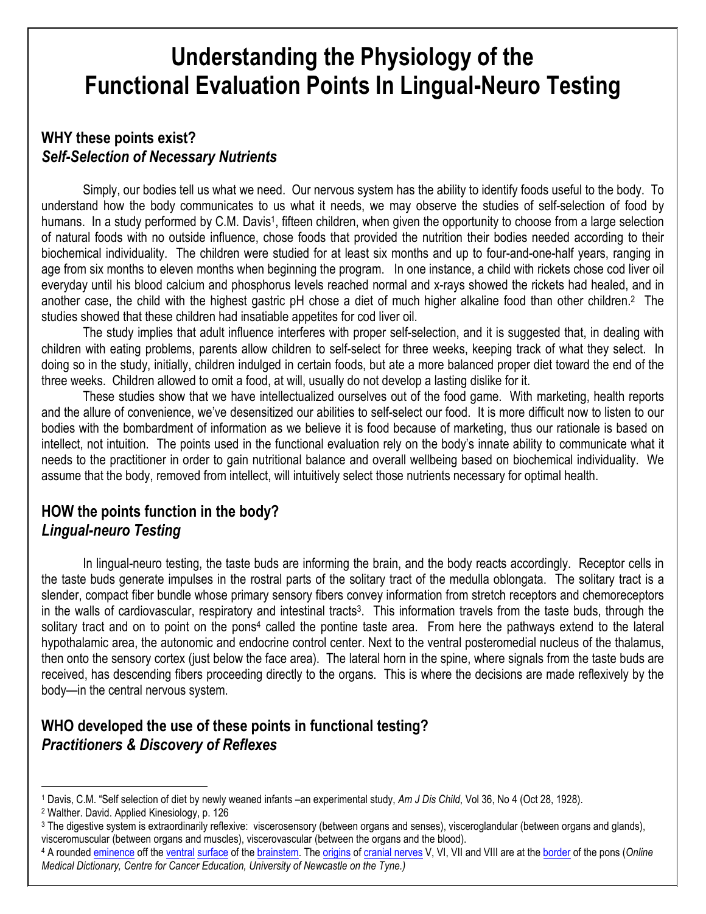# Understanding the Physiology of the Functional Evaluation Points In Lingual-Neuro Testing

# WHY these points exist? Self-Selection of Necessary Nutrients

Simply, our bodies tell us what we need. Our nervous system has the ability to identify foods useful to the body. To understand how the body communicates to us what it needs, we may observe the studies of self-selection of food by humans. In a study performed by C.M. Davis<sup>1</sup>, fifteen children, when given the opportunity to choose from a large selection of natural foods with no outside influence, chose foods that provided the nutrition their bodies needed according to their biochemical individuality. The children were studied for at least six months and up to four-and-one-half years, ranging in age from six months to eleven months when beginning the program. In one instance, a child with rickets chose cod liver oil everyday until his blood calcium and phosphorus levels reached normal and x-rays showed the rickets had healed, and in another case, the child with the highest gastric pH chose a diet of much higher alkaline food than other children.<sup>2</sup> The studies showed that these children had insatiable appetites for cod liver oil.

The study implies that adult influence interferes with proper self-selection, and it is suggested that, in dealing with children with eating problems, parents allow children to self-select for three weeks, keeping track of what they select. In doing so in the study, initially, children indulged in certain foods, but ate a more balanced proper diet toward the end of the three weeks. Children allowed to omit a food, at will, usually do not develop a lasting dislike for it.

These studies show that we have intellectualized ourselves out of the food game. With marketing, health reports and the allure of convenience, we've desensitized our abilities to self-select our food. It is more difficult now to listen to our bodies with the bombardment of information as we believe it is food because of marketing, thus our rationale is based on intellect, not intuition. The points used in the functional evaluation rely on the body's innate ability to communicate what it needs to the practitioner in order to gain nutritional balance and overall wellbeing based on biochemical individuality. We assume that the body, removed from intellect, will intuitively select those nutrients necessary for optimal health.

### HOW the points function in the body? Lingual-neuro Testing

In lingual-neuro testing, the taste buds are informing the brain, and the body reacts accordingly. Receptor cells in the taste buds generate impulses in the rostral parts of the solitary tract of the medulla oblongata. The solitary tract is a slender, compact fiber bundle whose primary sensory fibers convey information from stretch receptors and chemoreceptors in the walls of cardiovascular, respiratory and intestinal tracts<sup>3</sup>. This information travels from the taste buds, through the solitary tract and on to point on the pons<sup>4</sup> called the pontine taste area. From here the pathways extend to the lateral hypothalamic area, the autonomic and endocrine control center. Next to the ventral posteromedial nucleus of the thalamus, then onto the sensory cortex (just below the face area). The lateral horn in the spine, where signals from the taste buds are received, has descending fibers proceeding directly to the organs. This is where the decisions are made reflexively by the body—in the central nervous system.

## WHO developed the use of these points in functional testing? Practitioners & Discovery of Reflexes

 $\overline{a}$ 

<sup>1</sup> Davis, C.M. "Self selection of diet by newly weaned infants –an experimental study, Am J Dis Child, Vol 36, No 4 (Oct 28, 1928).

<sup>2</sup> Walther. David. Applied Kinesiology, p. 126

<sup>3</sup> The digestive system is extraordinarily reflexive: viscerosensory (between organs and senses), visceroglandular (between organs and glands), visceromuscular (between organs and muscles), viscerovascular (between the organs and the blood).

<sup>&</sup>lt;sup>4</sup> A rounded <u>eminence</u> off the <u>ventral surface</u> of the <u>brainstem</u>. The <u>origins</u> of <u>cranial nerves</u> V, VI, VII and VIII are at the <u>border</u> of the pons (*Online* Medical Dictionary, Centre for Cancer Education, University of Newcastle on the Tyne.)